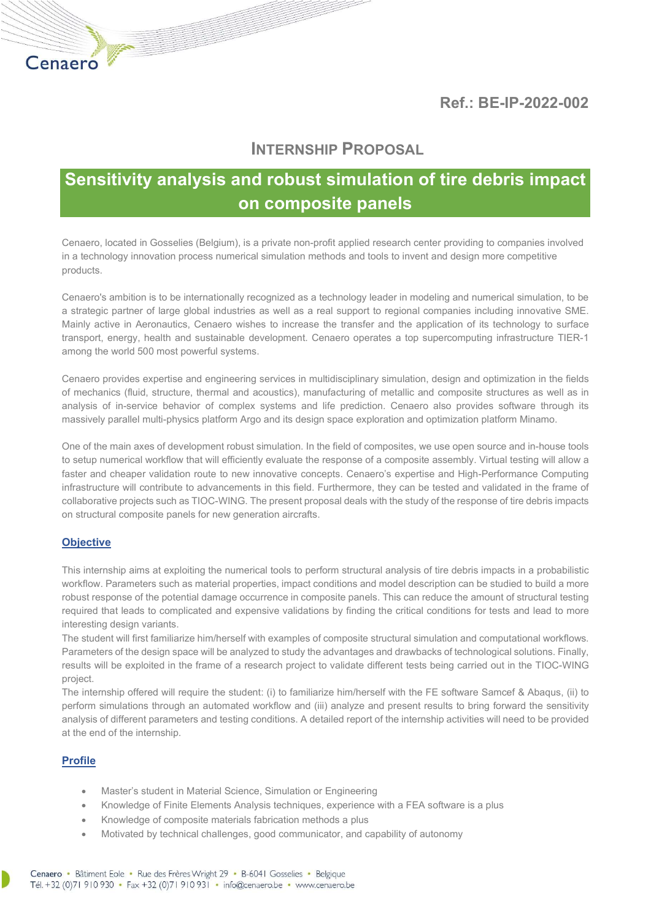Ref.: BE-IP-2022-002

## INTERNSHIP PROPOSAL

# Sensitivity analysis and robust simulation of tire debris impact on composite panels

Cenaero, located in Gosselies (Belgium), is a private non-profit applied research center providing to companies involved in a technology innovation process numerical simulation methods and tools to invent and design more competitive products.

Cenaero's ambition is to be internationally recognized as a technology leader in modeling and numerical simulation, to be a strategic partner of large global industries as well as a real support to regional companies including innovative SME. Mainly active in Aeronautics, Cenaero wishes to increase the transfer and the application of its technology to surface transport, energy, health and sustainable development. Cenaero operates a top supercomputing infrastructure TIER-1 among the world 500 most powerful systems.

Cenaero provides expertise and engineering services in multidisciplinary simulation, design and optimization in the fields of mechanics (fluid, structure, thermal and acoustics), manufacturing of metallic and composite structures as well as in analysis of in-service behavior of complex systems and life prediction. Cenaero also provides software through its massively parallel multi-physics platform Argo and its design space exploration and optimization platform Minamo.

One of the main axes of development robust simulation. In the field of composites, we use open source and in-house tools to setup numerical workflow that will efficiently evaluate the response of a composite assembly. Virtual testing will allow a faster and cheaper validation route to new innovative concepts. Cenaero's expertise and High-Performance Computing infrastructure will contribute to advancements in this field. Furthermore, they can be tested and validated in the frame of collaborative projects such as TIOC-WING. The present proposal deals with the study of the response of tire debris impacts on structural composite panels for new generation aircrafts.

#### **Objective**

Cenaero

This internship aims at exploiting the numerical tools to perform structural analysis of tire debris impacts in a probabilistic workflow. Parameters such as material properties, impact conditions and model description can be studied to build a more robust response of the potential damage occurrence in composite panels. This can reduce the amount of structural testing required that leads to complicated and expensive validations by finding the critical conditions for tests and lead to more interesting design variants.

The student will first familiarize him/herself with examples of composite structural simulation and computational workflows. Parameters of the design space will be analyzed to study the advantages and drawbacks of technological solutions. Finally, results will be exploited in the frame of a research project to validate different tests being carried out in the TIOC-WING project.

The internship offered will require the student: (i) to familiarize him/herself with the FE software Samcef & Abaqus, (ii) to perform simulations through an automated workflow and (iii) analyze and present results to bring forward the sensitivity analysis of different parameters and testing conditions. A detailed report of the internship activities will need to be provided at the end of the internship.

#### Profile

- Master's student in Material Science, Simulation or Engineering
- Knowledge of Finite Elements Analysis techniques, experience with a FEA software is a plus
- Knowledge of composite materials fabrication methods a plus
- Motivated by technical challenges, good communicator, and capability of autonomy